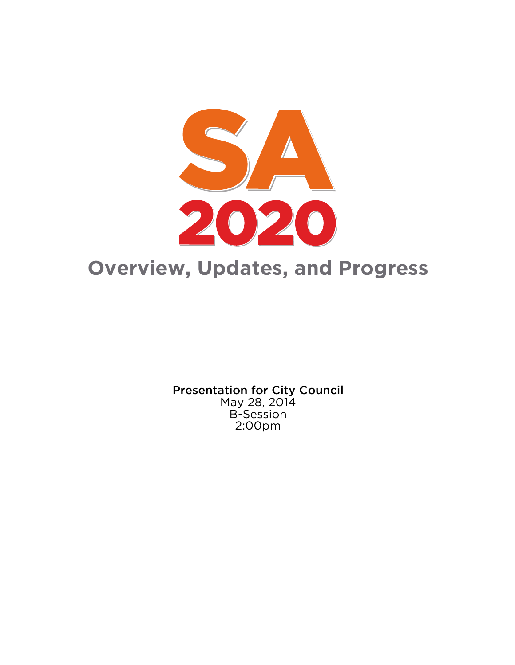

Presentation for City Council May 28, 2014 B-Session 2:00pm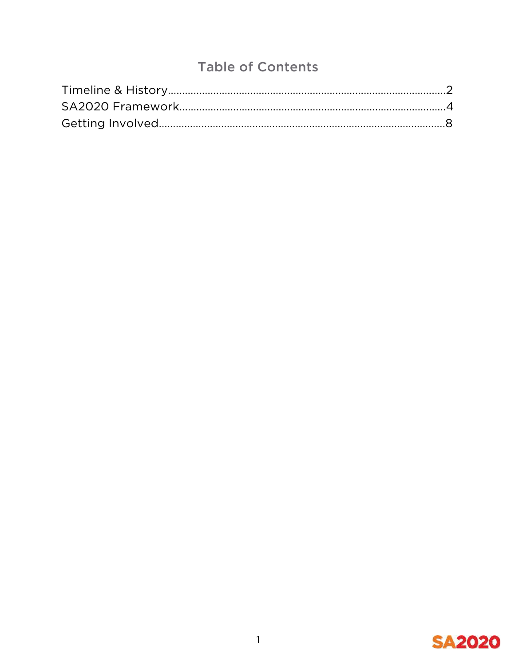# Table of Contents

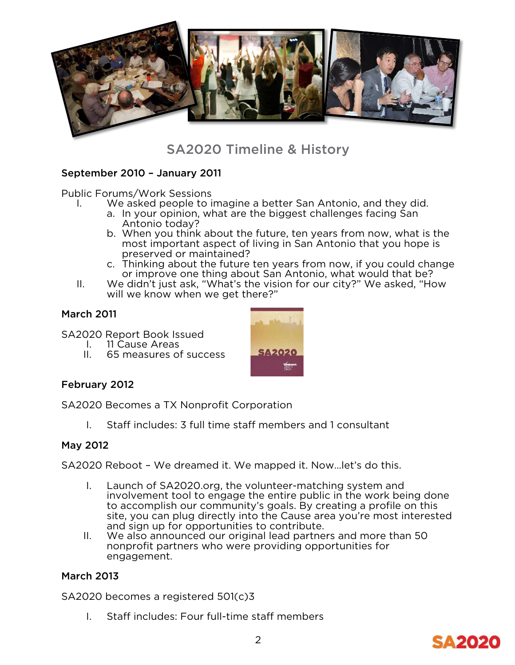

## SA2020 Timeline & History

### September 2010 – January 2011

Public Forums/Work Sessions

- I. We asked people to imagine a better San Antonio, and they did.
	- a. In your opinion, what are the biggest challenges facing San Antonio today?
	- b. When you think about the future, ten years from now, what is the most important aspect of living in San Antonio that you hope is preserved or maintained?
	- c. Thinking about the future ten years from now, if you could change or improve one thing about San Antonio, what would that be?
- II. We didn't just ask, "What's the vision for our city?" We asked, "How will we know when we get there?"

### March 2011

- SA2020 Report Book Issued
	- I. 11 Cause Areas<br>II. 65 measures of
	- 65 measures of success



### February 2012

SA2020 Becomes a TX Nonprofit Corporation

I. Staff includes: 3 full time staff members and 1 consultant

### May 2012

SA2020 Reboot – We dreamed it. We mapped it. Now…let's do this.

- I. Launch of SA2020.org, the volunteer-matching system and involvement tool to engage the entire public in the work being done to accomplish our community's goals. By creating a profile on this site, you can plug directly into the Cause area you're most interested and sign up for opportunities to contribute.
- II. We also announced our original lead partners and more than 50 nonprofit partners who were providing opportunities for engagement.

### March 2013

SA2020 becomes a registered 501(c)3

I. Staff includes: Four full-time staff members

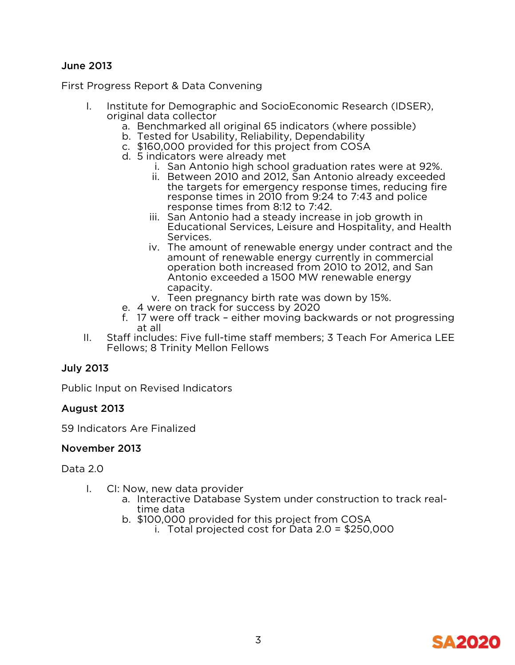### June 2013

First Progress Report & Data Convening

- I. Institute for Demographic and SocioEconomic Research (IDSER), original data collector
	- a. Benchmarked all original 65 indicators (where possible)
	- b. Tested for Usability, Reliability, Dependability
	- c. \$160,000 provided for this project from COSA
	- d. 5 indicators were already met
		- i. San Antonio high school graduation rates were at 92%.
		- ii. Between 2010 and 2012, San Antonio already exceeded the targets for emergency response times, reducing fire response times in 2010 from 9:24 to 7:43 and police response times from 8:12 to 7:42.
		- iii. San Antonio had a steady increase in job growth in Educational Services, Leisure and Hospitality, and Health Services.
		- iv. The amount of renewable energy under contract and the amount of renewable energy currently in commercial operation both increased from 2010 to 2012, and San Antonio exceeded a 1500 MW renewable energy capacity.
		- v. Teen pregnancy birth rate was down by 15%.
	- e. 4 were on track for success by 2020
	- f. 17 were off track either moving backwards or not progressing at all
- II. Staff includes: Five full-time staff members; 3 Teach For America LEE Fellows; 8 Trinity Mellon Fellows

### July 2013

Public Input on Revised Indicators

### August 2013

59 Indicators Are Finalized

### November 2013

Data 2.0

- I. CI: Now, new data provider
	- a. Interactive Database System under construction to track real- time data
	- b. \$100,000 provided for this project from COSA
		- i. Total projected cost for Data 2.0 = \$250,000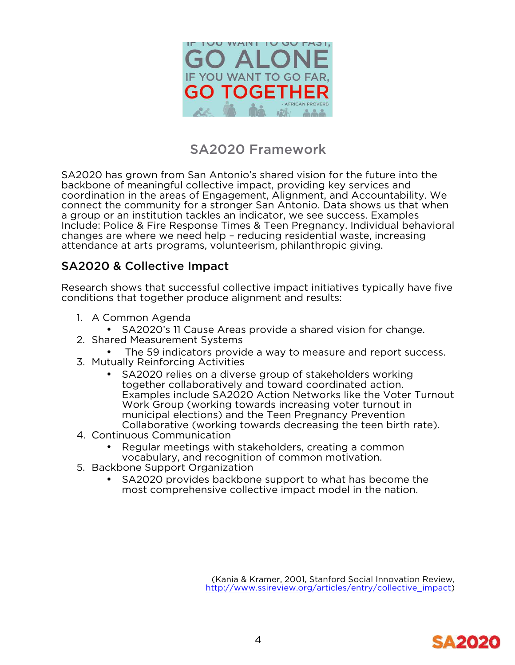

## SA2020 Framework

SA2020 has grown from San Antonio's shared vision for the future into the backbone of meaningful collective impact, providing key services and coordination in the areas of Engagement, Alignment, and Accountability. We connect the community for a stronger San Antonio. Data shows us that when a group or an institution tackles an indicator, we see success. Examples Include: Police & Fire Response Times & Teen Pregnancy. Individual behavioral changes are where we need help – reducing residential waste, increasing attendance at arts programs, volunteerism, philanthropic giving.

## SA2020 & Collective Impact

Research shows that successful collective impact initiatives typically have five conditions that together produce alignment and results:

- 1. A Common Agenda
	- SA2020's 11 Cause Areas provide a shared vision for change.
- 2. Shared Measurement Systems
	- The 59 indicators provide a way to measure and report success.
- 3. Mutually Reinforcing Activities
	- SA2020 relies on a diverse group of stakeholders working together collaboratively and toward coordinated action. Examples include SA2020 Action Networks like the Voter Turnout Work Group (working towards increasing voter turnout in municipal elections) and the Teen Pregnancy Prevention Collaborative (working towards decreasing the teen birth rate).
- 4. Continuous Communication
	- Regular meetings with stakeholders, creating a common vocabulary, and recognition of common motivation.
- 5. Backbone Support Organization
	- SA2020 provides backbone support to what has become the most comprehensive collective impact model in the nation.

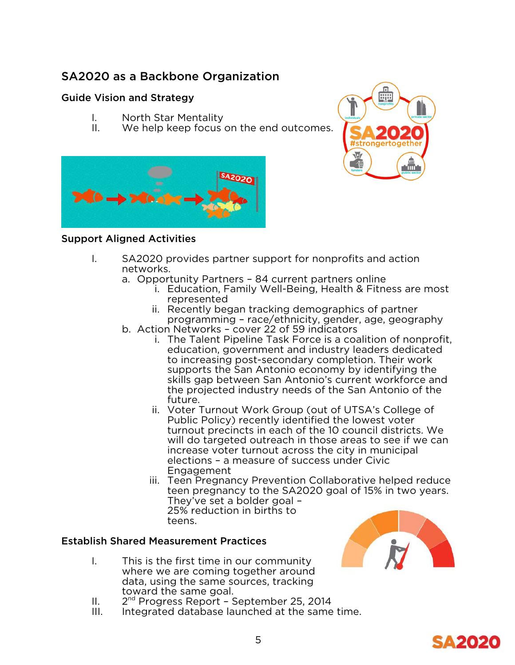## SA2020 as a Backbone Organization

## Guide Vision and Strategy

- I. North Star Mentality
- II. We help keep focus on the end outcomes.





## Support Aligned Activities

- I. SA2020 provides partner support for nonprofits and action networks.
	- a. Opportunity Partners 84 current partners online
		- i. Education, Family Well-Being, Health & Fitness are most represented
		- ii. Recently began tracking demographics of partner programming – race/ethnicity, gender, age, geography
	- b. Action Networks cover 22 of 59 indicators
		- i. The Talent Pipeline Task Force is a coalition of nonprofit, education, government and industry leaders dedicated to increasing post-secondary completion. Their work supports the San Antonio economy by identifying the skills gap between San Antonio's current workforce and the projected industry needs of the San Antonio of the future.
		- ii. Voter Turnout Work Group (out of UTSA's College of Public Policy) recently identified the lowest voter turnout precincts in each of the 10 council districts. We will do targeted outreach in those areas to see if we can increase voter turnout across the city in municipal elections – a measure of success under Civic Engagement
		- iii. Teen Pregnancy Prevention Collaborative helped reduce teen pregnancy to the SA2020 goal of 15% in two years. They've set a bolder goal – 25% reduction in births to teens.

### Establish Shared Measurement Practices

- I. This is the first time in our community where we are coming together around data, using the same sources, tracking toward the same goal.
- II. 2<sup>nd</sup> Progress Report September 25, 2014
- III. Integrated database launched at the same time.



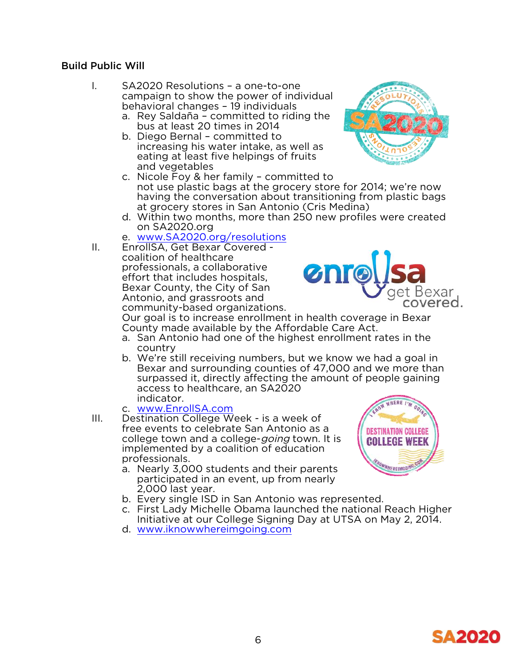### Build Public Will

- I. SA2020 Resolutions a one-to-one campaign to show the power of individual behavioral changes – 19 individuals
	- a. Rey Saldaña committed to riding the bus at least 20 times in 2014
	- b. Diego Bernal committed to increasing his water intake, as well as eating at least five helpings of fruits and vegetables
	- c. Nicole Foy & her family committed to not use plastic bags at the grocery store for 2014; we're now having the conversation about transitioning from plastic bags at grocery stores in San Antonio (Cris Medina)
	- d. Within two months, more than 250 new profiles were created on SA2020.org
	- e. www.SA2020.org/resolutions

II. EnrollSA, Get Bexar Covered - coalition of healthcare professionals, a collaborative effort that includes hospitals, Bexar County, the City of San Antonio, and grassroots and community-based organizations.



Our goal is to increase enrollment in health coverage in Bexar County made available by the Affordable Care Act.

- a. San Antonio had one of the highest enrollment rates in the country
- b. We're still receiving numbers, but we know we had a goal in Bexar and surrounding counties of 47,000 and we more than surpassed it, directly affecting the amount of people gaining access to healthcare, an SA2020 indicator.
- c. www.EnrollSA.com
- III. Destination College Week is a week of free events to celebrate San Antonio as a college town and a college-going town. It is implemented by a coalition of education professionals.
	- a. Nearly 3,000 students and their parents participated in an event, up from nearly 2,000 last year.
	- b. Every single ISD in San Antonio was represented.
	- c. First Lady Michelle Obama launched the national Reach Higher Initiative at our College Signing Day at UTSA on May 2, 2014. d. www.iknowwhereimgoing.com
	-



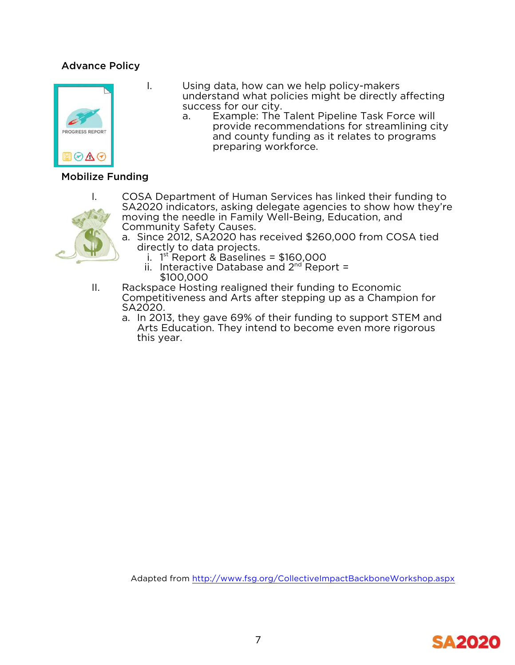## Advance Policy



- I. Using data, how can we help policy-makers understand what policies might be directly affecting
	- a. Example: The Talent Pipeline Task Force will provide recommendations for streamlining city and county funding as it relates to programs preparing workforce.

### Mobilize Funding



- I. COSA Department of Human Services has linked their funding to SA2020 indicators, asking delegate agencies to show how they're moving the needle in Family Well-Being, Education, and Community Safety Causes.
	- a. Since 2012, SA2020 has received \$260,000 from COSA tied directly to data projects.
		- i. 1 st Report & Baselines = \$160,000
		- ii. Interactive Database and  $2^{nd}$  Report = \$100,000
- II. Rackspace Hosting realigned their funding to Economic Competitiveness and Arts after stepping up as a Champion for SA2020.
	- a. In 2013, they gave 69% of their funding to support STEM and Arts Education. They intend to become even more rigorous this year.

Adapted from http://www.fsg.org/CollectiveImpactBackboneWorkshop.aspx

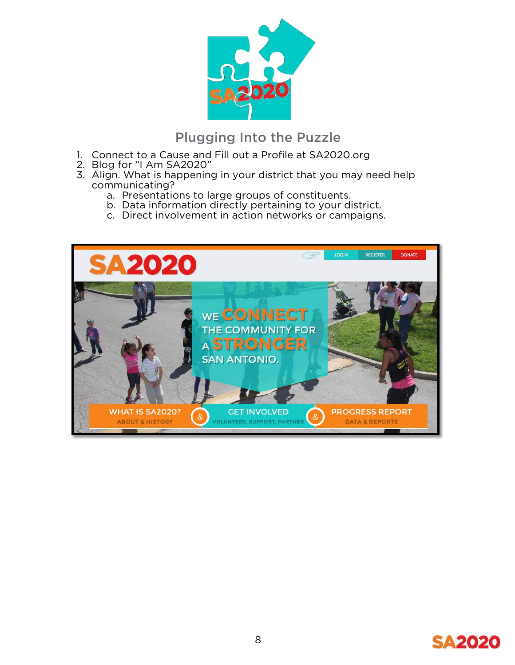

## Plugging Into the Puzzle

- 1. Connect to a Cause and Fill out a Profile at SA2020.org
- 2. Blog for "I Am SA2020"
- 3. Align. What is happening in your district that you may need help communicating?
	- a. Presentations to large groups of constituents.
	- b. Data information directly pertaining to your district.
	- c. Direct involvement in action networks or campaigns.